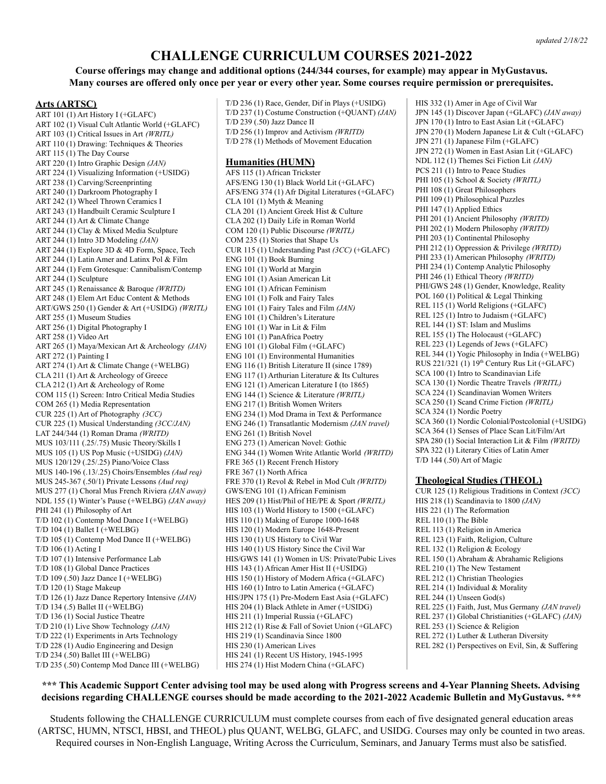# **CHALLENGE CURRICULUM COURSES 2021-2022**

# **Course offerings may change and additional options (244/344 courses, for example) may appear in MyGustavus.** Many courses are offered only once per year or every other year. Some courses require permission or prerequisites.

#### **Arts (ARTSC)**

ART 101 (1) Art History I (+GLAFC) ART 102 (1) Visual Cult Atlantic World (+GLAFC) ART 103 (1) Critical Issues in Art *(WRITL)* ART 110 (1) Drawing: Techniques & Theories ART 115 (1) The Day Course ART 220 (1) Intro Graphic Design *(JAN)* ART 224 (1) Visualizing Information (+USIDG) ART 238 (1) Carving/Screenprinting ART 240 (1) Darkroom Photography I ART 242 (1) Wheel Thrown Ceramics I ART 243 (1) Handbuilt Ceramic Sculpture I ART 244 (1) Art & Climate Change ART 244 (1) Clay & Mixed Media Sculpture ART 244 (1) Intro 3D Modeling *(JAN)* ART 244 (1) Explore 3D & 4D Form, Space, Tech ART 244 (1) Latin Amer and Latinx Pol & Film ART 244 (1) Fem Grotesque: Cannibalism/Contemp ART 244 (1) Sculpture ART 245 (1) Renaissance & Baroque *(WRITD)* ART 248 (1) Elem Art Educ Content & Methods ART/GWS 250 (1) Gender & Art (+USIDG) *(WRITL)* ART 255 (1) Museum Studies ART 256 (1) Digital Photography I ART 258 (1) Video Art ART 265 (1) Maya/Mexican Art & Archeology *(JAN)* ART 272 (1) Painting I ART 274 (1) Art & Climate Change (+WELBG) CLA 211 (1) Art & Archeology of Greece CLA 212 (1) Art & Archeology of Rome COM 115 (1) Screen: Intro Critical Media Studies COM 265 (1) Media Representation CUR 225 (1) Art of Photography *(3CC)* CUR 225 (1) Musical Understanding *(3CC/JAN)* LAT 244/344 (1) Roman Drama *(WRITD)* MUS 103/111 (.25/.75) Music Theory/Skills I MUS 105 (1) US Pop Music (+USIDG) *(JAN)* MUS 120/129 (.25/.25) Piano/Voice Class MUS 140-196 (.13/.25) Choirs/Ensembles *(Aud req)* MUS 245-367 (.50/1) Private Lessons *(Aud req)* MUS 277 (1) Choral Mus French Riviera *(JAN away)* NDL 155 (1) Winter's Pause (+WELBG) *(JAN away)* PHI 241 (1) Philosophy of Art T/D 102 (1) Contemp Mod Dance I (+WELBG) T/D 104 (1) Ballet I (+WELBG) T/D 105 (1) Contemp Mod Dance II (+WELBG) T/D 106 (1) Acting I T/D 107 (1) Intensive Performance Lab T/D 108 (1) Global Dance Practices T/D 109 (.50) Jazz Dance I (+WELBG) T/D 120 (1) Stage Makeup T/D 126 (1) Jazz Dance Repertory Intensive *(JAN)* T/D 134 (.5) Ballet II (+WELBG) T/D 136 (1) Social Justice Theatre T/D 210 (1) Live Show Technology *(JAN)* T/D 222 (1) Experiments in Arts Technology T/D 228 (1) Audio Engineering and Design T/D 234 (.50) Ballet III (+WELBG) T/D 235 (.50) Contemp Mod Dance III (+WELBG)

T/D 236 (1) Race, Gender, Dif in Plays (+USIDG) T/D 237 (1) Costume Construction (+QUANT) *(JAN)* T/D 239 (.50) Jazz Dance II T/D 256 (1) Improv and Activism *(WRITD)* T/D 278 (1) Methods of Movement Education **Humanities (HUMN)**

AFS 115 (1) African Trickster AFS/ENG 130 (1) Black World Lit (+GLAFC) AFS/ENG 374 (1) Afr Digital Literatures (+GLAFC) CLA 101 (1) Myth & Meaning CLA 201 (1) Ancient Greek Hist & Culture CLA 202 (1) Daily Life in Roman World COM 120 (1) Public Discourse *(WRITL)* COM 235 (1) Stories that Shape Us CUR 115 (1) Understanding Past *(3CC)* (+GLAFC) ENG 101 (1) Book Burning ENG 101 (1) World at Margin ENG 101 (1) Asian American Lit ENG 101 (1) African Feminism ENG 101 (1) Folk and Fairy Tales ENG 101 (1) Fairy Tales and Film *(JAN)* ENG 101 (1) Children's Literature ENG 101 (1) War in Lit & Film ENG 101 (1) PanAfrica Poetry ENG 101 (1) Global Film (+GLAFC) ENG 101 (1) Environmental Humanities ENG 116 (1) British Literature II (since 1789) ENG 117 (1) Arthurian Literature & Its Cultures ENG 121 (1) American Literature I (to 1865) ENG 144 (1) Science & Literature *(WRITL)* ENG 217 (1) British Women Writers ENG 234 (1) Mod Drama in Text & Performance ENG 246 (1) Transatlantic Modernism *(JAN travel)* ENG 261 (1) British Novel ENG 273 (1) American Novel: Gothic ENG 344 (1) Women Write Atlantic World *(WRITD)* FRE 365 (1) Recent French History FRE 367 (1) North Africa FRE 370 (1) Revol & Rebel in Mod Cult *(WRITD)* GWS/ENG 101 (1) African Feminism HES 209 (1) Hist/Phil of HE/PE & Sport *(WRITL)* HIS 103 (1) World History to 1500 (+GLAFC) HIS 110 (1) Making of Europe 1000-1648 HIS 120 (1) Modern Europe 1648-Present HIS 130 (1) US History to Civil War HIS 140 (1) US History Since the Civil War HIS/GWS 141 (1) Women in US: Private/Pubic Lives HIS 143 (1) African Amer Hist II (+USIDG) HIS 150 (1) History of Modern Africa (+GLAFC) HIS 160 (1) Intro to Latin America (+GLAFC) HIS/JPN 175 (1) Pre-Modern East Asia (+GLAFC) HIS 204 (1) Black Athlete in Amer (+USIDG) HIS 211 (1) Imperial Russia (+GLAFC) HIS 212 (1) Rise & Fall of Soviet Union (+GLAFC) HIS 219 (1) Scandinavia Since 1800 HIS 230 (1) American Lives HIS 241 (1) Recent US History, 1945-1995 HIS 274 (1) Hist Modern China (+GLAFC)

HIS 332 (1) Amer in Age of Civil War JPN 145 (1) Discover Japan (+GLAFC) *(JAN away)* JPN 170 (1) Intro to East Asian Lit (+GLAFC) JPN 270 (1) Modern Japanese Lit & Cult (+GLAFC) JPN 271 (1) Japanese Film (+GLAFC) JPN 272 (1) Women in East Asian Lit (+GLAFC) NDL 112 (1) Themes Sci Fiction Lit *(JAN)* PCS 211 (1) Intro to Peace Studies PHI 105 (1) School & Society *(WRITL)* PHI 108 (1) Great Philosophers PHI 109 (1) Philosophical Puzzles PHI 147 (1) Applied Ethics PHI 201 (1) Ancient Philosophy *(WRITD)* PHI 202 (1) Modern Philosophy *(WRITD)* PHI 203 (1) Continental Philosophy PHI 212 (1) Oppression & Privilege *(WRITD)* PHI 233 (1) American Philosophy *(WRITD)* PHI 234 (1) Contemp Analytic Philosophy PHI 246 (1) Ethical Theory *(WRITD)* PHI/GWS 248 (1) Gender, Knowledge, Reality POL 160 (1) Political & Legal Thinking REL 115 (1) World Religions (+GLAFC) REL 125 (1) Intro to Judaism (+GLAFC) REL 144 (1) ST: Islam and Muslims REL 155 (1) The Holocaust (+GLAFC) REL 223 (1) Legends of Jews (+GLAFC) REL 344 (1) Yogic Philosophy in India (+WELBG) RUS 221/321 (1) 19<sup>th</sup> Century Rus Lit (+GLAFC) SCA 100 (1) Intro to Scandinavian Life SCA 130 (1) Nordic Theatre Travels *(WRITL)* SCA 224 (1) Scandinavian Women Writers SCA 250 (1) Scand Crime Fiction *(WRITL)* SCA 324 (1) Nordic Poetry SCA 360 (1) Nordic Colonial/Postcolonial (+USIDG) SCA 364 (1) Senses of Place Scan Lit/Film/Art SPA 280 (1) Social Interaction Lit & Film *(WRITD)* SPA 322 (1) Literary Cities of Latin Amer T/D 144 (.50) Art of Magic

#### **Theological Studies (THEOL)**

CUR 125 (1) Religious Traditions in Context *(3CC)* HIS 218 (1) Scandinavia to 1800 *(JAN)* HIS 221 (1) The Reformation REL 110 (1) The Bible REL 113 (1) Religion in America REL 123 (1) Faith, Religion, Culture REL 132 (1) Religion & Ecology REL 150 (1) Abraham & Abrahamic Religions REL 210 (1) The New Testament REL 212 (1) Christian Theologies REL 214 (1) Individual & Morality REL 244 (1) Unseen God(s) REL 225 (1) Faith, Just, Mus Germany *(JAN travel)* REL 237 (1) Global Christianities (+GLAFC) *(JAN)* REL 253 (1) Science & Religion REL 272 (1) Luther & Lutheran Diversity REL 282 (1) Perspectives on Evil, Sin, & Suffering

# \*\*\* This Academic Support Center advising tool may be used along with Progress screens and 4-Year Planning Sheets. Advising decisions regarding CHALLENGE courses should be made according to the 2021-2022 Academic Bulletin and MyGustavus. \*\*\*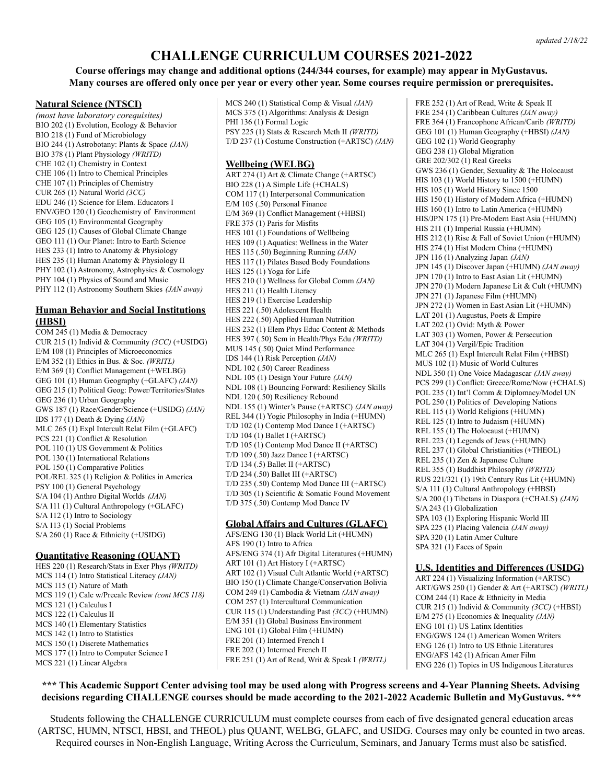# **CHALLENGE CURRICULUM COURSES 2021-2022**

# **Course offerings may change and additional options (244/344 courses, for example) may appear in MyGustavus.** Many courses are offered only once per year or every other year. Some courses require permission or prerequisites.

#### **Natural Science (NTSCI)**

*(most have laboratory corequisites)* BIO 202 (1) Evolution, Ecology & Behavior BIO 218 (1) Fund of Microbiology BIO 244 (1) Astrobotany: Plants & Space *(JAN)* BIO 378 (1) Plant Physiology *(WRITD)* CHE 102 (1) Chemistry in Context CHE 106 (1) Intro to Chemical Principles CHE 107 (1) Principles of Chemistry CUR 265 (1) Natural World *(3CC)* EDU 246 (1) Science for Elem. Educators I ENV/GEO 120 (1) Geochemistry of Environment GEG 105 (1) Environmental Geography GEG 125 (1) Causes of Global Climate Change GEO 111 (1) Our Planet: Intro to Earth Science HES 233 (1) Intro to Anatomy & Physiology HES 235 (1) Human Anatomy & Physiology II PHY 102 (1) Astronomy, Astrophysics & Cosmology PHY 104 (1) Physics of Sound and Music PHY 112 (1) Astronomy Southern Skies *(JAN away)*

## **Human Behavior and Social Institutions (HBSI)**

COM 245 (1) Media & Democracy CUR 215 (1) Individ & Community *(3CC)* (+USIDG) E/M 108 (1) Principles of Microeconomics E/M 352 (1) Ethics in Bus. & Soc. *(WRITL)* E/M 369 (1) Conflict Management (+WELBG) GEG 101 (1) Human Geography (+GLAFC) *(JAN)* GEG 215 (1) Political Geog: Power/Territories/States GEG 236 (1) Urban Geography GWS 187 (1) Race/Gender/Science (+USIDG) *(JAN)* IDS 177 (1) Death & Dying *(JAN)* MLC 265 (1) Expl Intercult Relat Film (+GLAFC) PCS 221 (1) Conflict & Resolution POL 110 (1) US Government & Politics POL 130 (1) International Relations POL 150 (1) Comparative Politics POL/REL 325 (1) Religion & Politics in America PSY 100 (1) General Psychology S/A 104 (1) Anthro Digital Worlds *(JAN)* S/A 111 (1) Cultural Anthropology (+GLAFC) S/A 112 (1) Intro to Sociology S/A 113 (1) Social Problems S/A 260 (1) Race & Ethnicity (+USIDG)

#### **Quantitative Reasoning (QUANT)**

HES 220 (1) Research/Stats in Exer Phys *(WRITD)* MCS 114 (1) Intro Statistical Literacy *(JAN)* MCS 115 (1) Nature of Math MCS 119 (1) Calc w/Precalc Review *(cont MCS 118)* MCS 121 (1) Calculus I MCS 122 (1) Calculus II MCS 140 (1) Elementary Statistics MCS 142 (1) Intro to Statistics MCS 150 (1) Discrete Mathematics MCS 177 (1) Intro to Computer Science I MCS 221 (1) Linear Algebra

MCS 240 (1) Statistical Comp & Visual *(JAN)* MCS 375 (1) Algorithms: Analysis & Design PHI 136 (1) Formal Logic PSY 225 (1) Stats & Research Meth II *(WRITD)* T/D 237 (1) Costume Construction (+ARTSC) *(JAN)*

#### **Wellbeing (WELBG)**

ART 274 (1) Art & Climate Change (+ARTSC) BIO 228 (1) A Simple Life (+CHALS) COM 117 (1) Interpersonal Communication E/M 105 (.50) Personal Finance E/M 369 (1) Conflict Management (+HBSI) FRE 375 (1) Paris for Misfits HES 101 (1) Foundations of Wellbeing HES 109 (1) Aquatics: Wellness in the Water HES 115 (.50) Beginning Running *(JAN)* HES 117 (1) Pilates Based Body Foundations HES 125 (1) Yoga for Life HES 210 (1) Wellness for Global Comm *(JAN)* HES 211 (1) Health Literacy HES 219 (1) Exercise Leadership HES 221 (.50) Adolescent Health HES 222 (.50) Applied Human Nutrition HES 232 (1) Elem Phys Educ Content & Methods HES 397 (.50) Sem in Health/Phys Edu *(WRITD)* MUS 145 (.50) Quiet Mind Performance IDS 144 (1) Risk Perception *(JAN)* NDL 102 (.50) Career Readiness NDL 105 (1) Design Your Future *(JAN)* NDL 108 (1) Bouncing Forward: Resiliency Skills NDL 120 (.50) Resiliency Rebound NDL 155 (1) Winter's Pause (+ARTSC) *(JAN away)* REL 344 (1) Yogic Philosophy in India (+HUMN) T/D 102 (1) Contemp Mod Dance I (+ARTSC) T/D 104 (1) Ballet I (+ARTSC) T/D 105 (1) Contemp Mod Dance II (+ARTSC) T/D 109 (.50) Jazz Dance I (+ARTSC) T/D 134 (.5) Ballet II (+ARTSC) T/D 234 (.50) Ballet III (+ARTSC) T/D 235 (.50) Contemp Mod Dance III (+ARTSC) T/D 305 (1) Scientific & Somatic Found Movement T/D 375 (.50) Contemp Mod Dance IV

### **Global Affairs and Cultures (GLAFC)**

AFS/ENG 130 (1) Black World Lit (+HUMN) AFS 190 (1) Intro to Africa AFS/ENG 374 (1) Afr Digital Literatures (+HUMN) ART 101 (1) Art History I (+ARTSC) ART 102 (1) Visual Cult Atlantic World (+ARTSC) BIO 150 (1) Climate Change/Conservation Bolivia COM 249 (1) Cambodia & Vietnam *(JAN away)* COM 257 (1) Intercultural Communication CUR 115 (1) Understanding Past *(3CC)* (+HUMN) E/M 351 (1) Global Business Environment ENG 101 (1) Global Film (+HUMN) FRE 201 (1) Intermed French I FRE 202 (1) Intermed French II FRE 251 (1) Art of Read, Writ & Speak I *(WRITL)*

FRE 252 (1) Art of Read, Write & Speak II FRE 254 (1) Caribbean Cultures *(JAN away)* FRE 364 (1) Francophone African/Carib *(WRITD)* GEG 101 (1) Human Geography (+HBSI) *(JAN)* GEG 102 (1) World Geography GEG 238 (1) Global Migration GRE 202/302 (1) Real Greeks GWS 236 (1) Gender, Sexuality & The Holocaust HIS 103 (1) World History to 1500 (+HUMN) HIS 105 (1) World History Since 1500 HIS 150 (1) History of Modern Africa (+HUMN) HIS 160 (1) Intro to Latin America (+HUMN) HIS/JPN 175 (1) Pre-Modern East Asia (+HUMN) HIS 211 (1) Imperial Russia (+HUMN) HIS 212 (1) Rise & Fall of Soviet Union (+HUMN) HIS 274 (1) Hist Modern China (+HUMN) JPN 116 (1) Analyzing Japan *(JAN)* JPN 145 (1) Discover Japan (+HUMN) *(JAN away)* JPN 170 (1) Intro to East Asian Lit (+HUMN) JPN 270 (1) Modern Japanese Lit & Cult (+HUMN) JPN 271 (1) Japanese Film (+HUMN) JPN 272 (1) Women in East Asian Lit (+HUMN) LAT 201 (1) Augustus, Poets & Empire LAT 202 (1) Ovid: Myth & Power LAT 303 (1) Women, Power & Persecution LAT 304 (1) Vergil/Epic Tradition MLC 265 (1) Expl Intercult Relat Film (+HBSI) MUS 102 (1) Music of World Cultures NDL 350 (1) One Voice Madagascar *(JAN away)* PCS 299 (1) Conflict: Greece/Rome/Now (+CHALS) POL 235 (1) Int'l Comm & Diplomacy/Model UN POL 250 (1) Politics of Developing Nations REL 115 (1) World Religions (+HUMN) REL 125 (1) Intro to Judaism (+HUMN) REL 155 (1) The Holocaust (+HUMN) REL 223 (1) Legends of Jews (+HUMN) REL 237 (1) Global Christianities (+THEOL) REL 235 (1) Zen & Japanese Culture REL 355 (1) Buddhist Philosophy *(WRITD)* RUS 221/321 (1) 19th Century Rus Lit (+HUMN) S/A 111 (1) Cultural Anthropology (+HBSI) S/A 200 (1) Tibetans in Diaspora (+CHALS) *(JAN)* S/A 243 (1) Globalization SPA 103 (1) Exploring Hispanic World III SPA 225 (1) Placing Valencia *(JAN away)* SPA 320 (1) Latin Amer Culture SPA 321 (1) Faces of Spain

### **U.S. Identities and Differences (USIDG)**

ART 224 (1) Visualizing Information (+ARTSC) ART/GWS 250 (1) Gender & Art (+ARTSC) *(WRITL)* COM 244 (1) Race & Ethnicity in Media CUR 215 (1) Individ & Community *(3CC)* (+HBSI) E/M 275 (1) Economics & Inequality *(JAN)* ENG 101 (1) US Latinx Identities ENG/GWS 124 (1) American Women Writers ENG 126 (1) Intro to US Ethnic Literatures ENG/AFS 142 (1) African Amer Film ENG 226 (1) Topics in US Indigenous Literatures

# \*\*\* This Academic Support Center advising tool may be used along with Progress screens and 4-Year Planning Sheets. Advising decisions regarding CHALLENGE courses should be made according to the 2021-2022 Academic Bulletin and MyGustavus. \*\*\*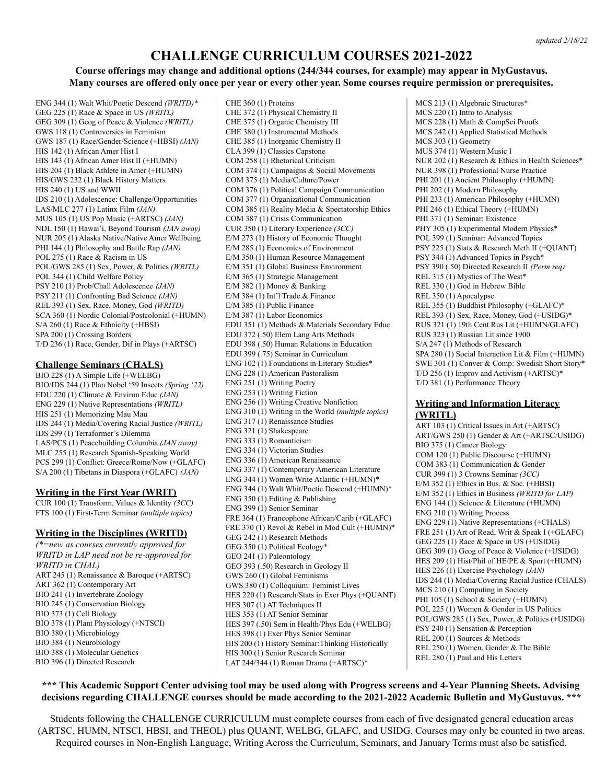#### *updated 2/18/22*

# **CHALLENGE CURRICULUM COURSES 2021-2022**

# **Course offerings may change and additional options (244/344 courses, for example) may appear in MyGustavus.** Many courses are offered only once per year or every other year. Some courses require permission or prerequisites.

ENG 344 (1) Walt Whit/Poetic Descend *(WRITD)\** GEG 225 (1) Race & Space in US *(WRITL)* GEG 309 (1) Geog of Peace & Violence *(WRITL)* GWS 118 (1) Controversies in Feminism GWS 187 (1) Race/Gender/Science (+HBSI) *(JAN)* HIS 142 (1) African Amer Hist I HIS 143 (1) African Amer Hist II (+HUMN) HIS 204 (1) Black Athlete in Amer (+HUMN) HIS/GWS 232 (1) Black History Matters HIS 240 (1) US and WWII IDS 210 (1) Adolescence: Challenge/Opportunities LAS/MLC 277 (1) Latinx Film *(JAN)* MUS 105 (1) US Pop Music (+ARTSC) *(JAN)* NDL 150 (1) Hawai'i, Beyond Tourism *(JAN away)* NUR 205 (1) Alaska Native/Native Amer Wellbeing PHI 144 (1) Philosophy and Battle Rap *(JAN)* POL 275 (1) Race & Racism in US POL/GWS 285 (1) Sex, Power, & Politics *(WRITL)* POL 344 (1) Child Welfare Policy PSY 210 (1) Prob/Chall Adolescence *(JAN)* PSY 211 (1) Confronting Bad Science *(JAN)* REL 393 (1) Sex, Race, Money, God *(WRITD)* SCA 360 (1) Nordic Colonial/Postcolonial (+HUMN) S/A 260 (1) Race & Ethnicity (+HBSI) SPA 200 (1) Crossing Borders T/D 236 (1) Race, Gender, Dif in Plays (+ARTSC)

# **Challenge Seminars (CHALS)**

BIO 228 (1) A Simple Life (+WELBG) BIO/IDS 244 (1) Plan Nobel '59 Insects *(Spring '22)* EDU 220 (1) Climate & Environ Educ *(JAN)* ENG 229 (1) Native Representations *(WRITL)* HIS 251 (1) Memorizing Mau Mau IDS 244 (1) Media/Covering Racial Justice *(WRITL)* IDS 299 (1) Terraformer's Dilemma LAS/PCS (1) Peacebuilding Columbia *(JAN away)* MLC 255 (1) Research Spanish-Speaking World PCS 299 (1) Conflict: Greece/Rome/Now (+GLAFC) S/A 200 (1) Tibetans in Diaspora (+GLAFC) *(JAN)*

### **Writing in the First Year (WRIT)**

CUR 100 (1) Transform, Values & Identity *(3CC)* FTS 100 (1) First-Term Seminar *(multiple topics)*

### **Writing in the Disciplines (WRITD)**

*(\*=new as courses currently approved for WRITD in LAP need not be re-approved for WRITD in CHAL)* ART 245 (1) Renaissance & Baroque (+ARTSC) ART 362 (1) Contemporary Art BIO 241 (1) Invertebrate Zoology BIO 245 (1) Conservation Biology BIO 373 (1) Cell Biology BIO 378 (1) Plant Physiology (+NTSCI) BIO 380 (1) Microbiology BIO 384 (1) Neurobiology BIO 388 (1) Molecular Genetics BIO 396 (1) Directed Research

CHE 360 (1) Proteins CHE 372 (1) Physical Chemistry II CHE 375 (1) Organic Chemistry III CHE 380 (1) Instrumental Methods CHE 385 (1) Inorganic Chemistry II CLA 399 (1) Classics Capstone COM 258 (1) Rhetorical Criticism COM 374 (1) Campaigns & Social Movements COM 375 (1) Media/Culture/Power COM 376 (1) Political Campaign Communication COM 377 (1) Organizational Communication COM 385 (1) Reality Media & Spectatorship Ethics COM 387 (1) Crisis Communication CUR 350 (1) Literary Experience *(3CC)* E/M 273 (1) History of Economic Thought E/M 285 (1) Economics of Environment E/M 350 (1) Human Resource Management E/M 351 (1) Global Business Environment E/M 365 (1) Strategic Management E/M 382 (1) Money & Banking E/M 384 (1) Int'l Trade & Finance E/M 385 (1) Public Finance E/M 387 (1) Labor Economics EDU 351 (1) Methods & Materials Secondary Educ EDU 372 (.50) Elem Lang Arts Methods EDU 398 (.50) Human Relations in Education EDU 399 (.75) Seminar in Curriculum ENG 102 (1) Foundations in Literary Studies\* ENG 228 (1) American Pastoralism ENG 251 (1) Writing Poetry ENG 253 (1) Writing Fiction ENG 256 (1) Writing Creative Nonfiction ENG 310 (1) Writing in the World *(multiple topics)* ENG 317 (1) Renaissance Studies ENG 321 (1) Shakespeare ENG 333 (1) Romanticism ENG 334 (1) Victorian Studies ENG 336 (1) American Renaissance ENG 337 (1) Contemporary American Literature ENG 344 (1) Women Write Atlantic (+HUMN)\* ENG 344 (1) Walt Whit/Poetic Descend (+HUMN)\* ENG 350 (1) Editing & Publishing ENG 399 (1) Senior Seminar FRE 364 (1) Francophone African/Carib (+GLAFC) FRE 370 (1) Revol & Rebel in Mod Cult (+HUMN)\* GEG 242 (1) Research Methods GEG 350 (1) Political Ecology\* GEO 241 (1) Paleontology GEO 393 (.50) Research in Geology II GWS 260 (1) Global Feminisms GWS 380 (1) Colloquium: Feminist Lives HES 220 (1) Research/Stats in Exer Phys (+QUANT) HES 307 (1) AT Techniques II HES 353 (1) AT Senior Seminar HES 397 (.50) Sem in Health/Phys Edu (+WELBG) HES 398 (1) Exer Phys Senior Seminar HIS 200 (1) History Seminar:Thinking Historically HIS 300 (1) Senior Research Seminar LAT 244/344 (1) Roman Drama (+ARTSC)\*

MCS 213 (1) Algebraic Structures\* MCS 220 (1) Intro to Analysis MCS 228 (1) Math & CompSci Proofs MCS 242 (1) Applied Statistical Methods MCS 303 (1) Geometry MUS 374 (1) Western Music I NUR 202 (1) Research & Ethics in Health Sciences\* NUR 398 (1) Professional Nurse Practice PHI 201 (1) Ancient Philosophy (+HUMN) PHI 202 (1) Modern Philosophy PHI 233 (1) American Philosophy (+HUMN) PHI 246 (1) Ethical Theory (+HUMN) PHI 371 (1) Seminar: Existence PHY 305 (1) Experimental Modern Physics\* POL 399 (1) Seminar: Advanced Topics PSY 225 (1) Stats & Research Meth II (+QUANT) PSY 344 (1) Advanced Topics in Psych\* PSY 390 (.50) Directed Research II *(Perm req)* REL 315 (1) Mystics of The West\* REL 330 (1) God in Hebrew Bible REL 350 (1) Apocalypse REL 355 (1) Buddhist Philosophy (+GLAFC)\* REL 393 (1) Sex, Race, Money, God (+USIDG)\* RUS 321 (1) 19th Cent Rus Lit (+HUMN/GLAFC) RUS 323 (1) Russian Lit since 1900 S/A 247 (1) Methods of Research SPA 280 (1) Social Interaction Lit & Film (+HUMN) SWE 301 (1) Conver & Comp: Swedish Short Story\* T/D 256 (1) Improv and Activism (+ARTSC)\* T/D 381 (1) Performance Theory

## **Writing and Information Literacy (WRITL)**

ART 103 (1) Critical Issues in Art (+ARTSC) ART/GWS 250 (1) Gender & Art (+ARTSC/USIDG) BIO 375 (1) Cancer Biology COM 120 (1) Public Discourse (+HUMN) COM 383 (1) Communication & Gender CUR 399 (1) 3 Crowns Seminar *(3CC)* E/M 352 (1) Ethics in Bus. & Soc. (+HBSI) E/M 352 (1) Ethics in Business *(WRITD for LAP)* ENG 144 (1) Science & Literature (+HUMN) ENG 210 (1) Writing Process ENG 229 (1) Native Representations (+CHALS) FRE 251 (1) Art of Read, Writ & Speak I (+GLAFC) GEG 225 (1) Race & Space in US (+USIDG) GEG 309 (1) Geog of Peace & Violence (+USIDG) HES 209 (1) Hist/Phil of HE/PE & Sport (+HUMN) HES 226 (1) Exercise Psychology *(JAN)* IDS 244 (1) Media/Covering Racial Justice (CHALS) MCS 210 (1) Computing in Society PHI 105 (1) School & Society (+HUMN) POL 225 (1) Women & Gender in US Politics POL/GWS 285 (1) Sex, Power, & Politics (+USIDG) PSY 240 (1) Sensation & Perception REL 200 (1) Sources & Methods REL 250 (1) Women, Gender & The Bible REL 280 (1) Paul and His Letters

# \*\*\* This Academic Support Center advising tool may be used along with Progress screens and 4-Year Planning Sheets. Advising decisions regarding CHALLENGE courses should be made according to the 2021-2022 Academic Bulletin and MyGustavus. \*\*\*